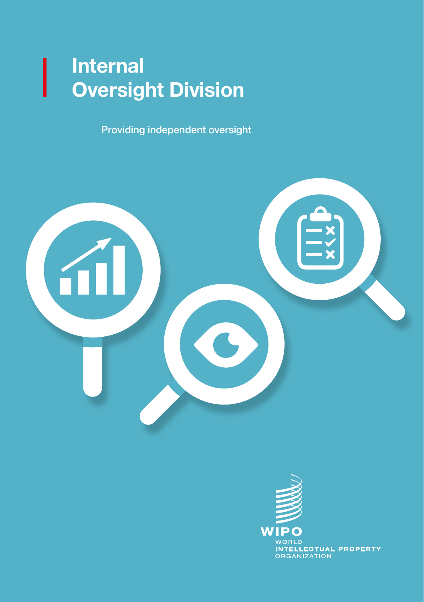### Internal Oversight Division

Providing independent oversight



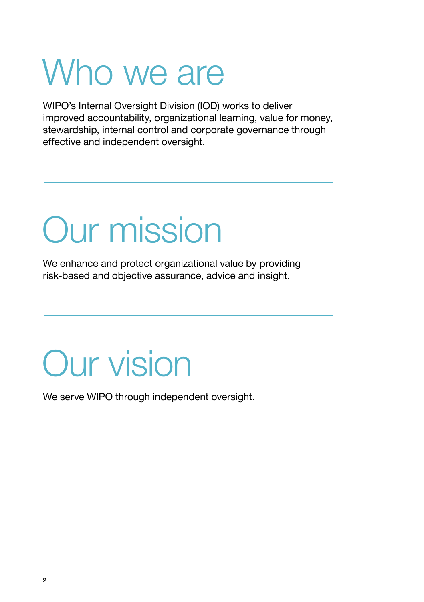## Who we are

WIPO's Internal Oversight Division (IOD) works to deliver improved accountability, organizational learning, value for money, stewardship, internal control and corporate governance through effective and independent oversight.

# Our mission

We enhance and protect organizational value by providing risk-based and objective assurance, advice and insight.

### Our vision

We serve WIPO through independent oversight.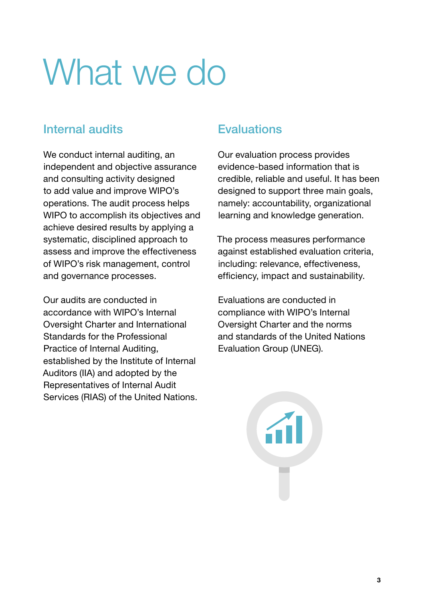# What we do

### Internal audits

We conduct internal auditing, an independent and objective assurance and consulting activity designed to add value and improve WIPO's operations. The audit process helps WIPO to accomplish its objectives and achieve desired results by applying a systematic, disciplined approach to assess and improve the effectiveness of WIPO's risk management, control and governance processes.

Our audits are conducted in accordance with WIPO's Internal Oversight Charter and International Standards for the Professional Practice of Internal Auditing, established by the Institute of Internal Auditors (IIA) and adopted by the Representatives of Internal Audit Services (RIAS) of the United Nations.

### **Evaluations**

Our evaluation process provides evidence-based information that is credible, reliable and useful. It has been designed to support three main goals, namely: accountability, organizational learning and knowledge generation.

The process measures performance against established evaluation criteria, including: relevance, effectiveness, efficiency, impact and sustainability.

Evaluations are conducted in compliance with WIPO's Internal Oversight Charter and the norms and standards of the United Nations Evaluation Group (UNEG).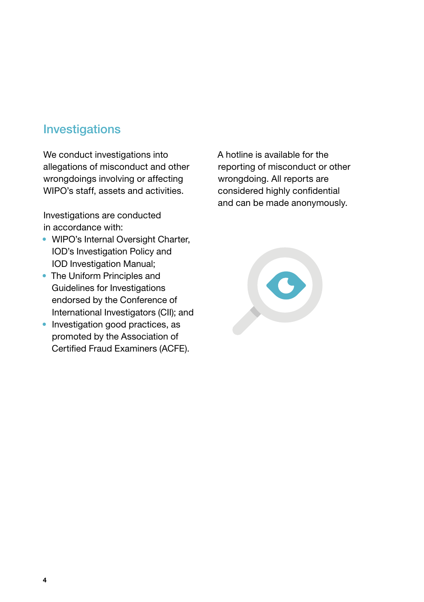### Investigations

We conduct investigations into allegations of misconduct and other wrongdoings involving or affecting WIPO's staff, assets and activities.

Investigations are conducted in accordance with:

- WIPO's Internal Oversight Charter, IOD's Investigation Policy and IOD Investigation Manual;
- The Uniform Principles and Guidelines for Investigations endorsed by the Conference of International Investigators (CII); and
- Investigation good practices, as promoted by the Association of Certified Fraud Examiners (ACFE).

A hotline is available for the reporting of misconduct or other wrongdoing. All reports are considered highly confidential and can be made anonymously.

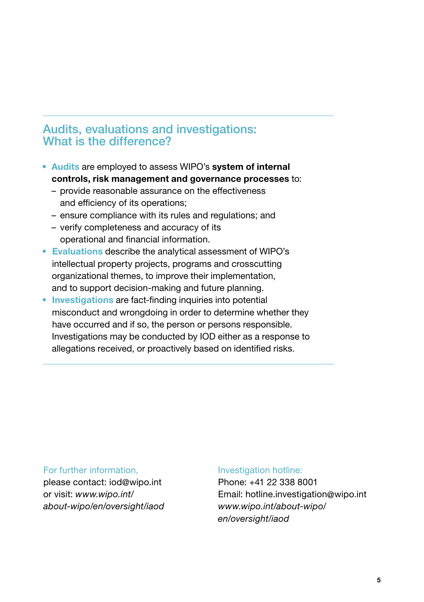#### Audits, evaluations and investigations: What is the difference?

- Audits are employed to assess WIPO's system of internal controls, risk management and governance processes to:
	- provide reasonable assurance on the effectiveness and efficiency of its operations;
	- ensure compliance with its rules and regulations; and
	- verify completeness and accuracy of its operational and financial information.
- Evaluations describe the analytical assessment of WIPO's intellectual property projects, programs and crosscutting organizational themes, to improve their implementation, and to support decision-making and future planning.
- Investigations are fact-finding inquiries into potential misconduct and wrongdoing in order to determine whether they have occurred and if so, the person or persons responsible. Investigations may be conducted by IOD either as a response to allegations received, or proactively based on identified risks.

#### For further information,

please contact: iod@wipo.int or visit: *[www.wipo.int/](https://www.wipo.int/about-wipo/en/oversight/iaod) [about-wipo/en/oversight/iaod](https://www.wipo.int/about-wipo/en/oversight/iaod)*

#### Investigation hotline:

Phone: +41 22 338 8001 Email: [hotline.investigation@wipo.int](mailto:hotline.investigation%40wipo.int?subject=) *[www.wipo.int/about-wipo/](https://www.wipo.int/about-wipo/en/oversight/iaod) [en/oversight/iaod](https://www.wipo.int/about-wipo/en/oversight/iaod)*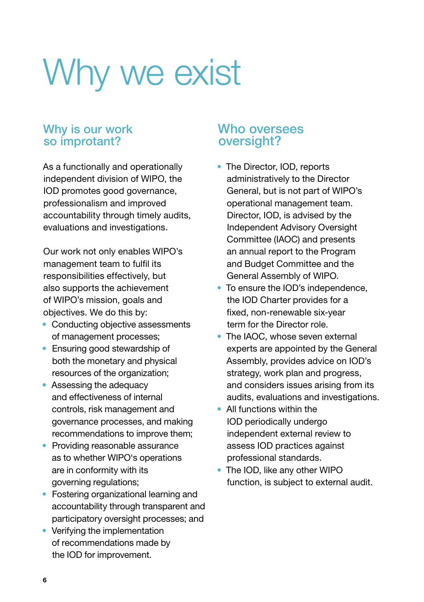# Why we exist

#### Why is our work so improtant?

As a functionally and operationally independent division of WIPO, the IOD promotes good governance, professionalism and improved accountability through timely audits, evaluations and investigations.

Our work not only enables WIPO's management team to fulfil its responsibilities effectively, but also supports the achievement of WIPO's mission, goals and objectives. We do this by:

- Conducting objective assessments of management processes;
- Ensuring good stewardship of both the monetary and physical resources of the organization;
- Assessing the adequacy and effectiveness of internal controls, risk management and governance processes, and making recommendations to improve them;
- Providing reasonable assurance as to whether WIPO's operations are in conformity with its governing regulations;
- Fostering organizational learning and accountability through transparent and participatory oversight processes; and
- Verifying the implementation of recommendations made by the IOD for improvement.

#### Who oversees oversight?

- The Director, IOD, reports administratively to the Director General, but is not part of WIPO's operational management team. Director, IOD, is advised by the Independent Advisory Oversight Committee (IAOC) and presents an annual report to the Program and Budget Committee and the General Assembly of WIPO.
- To ensure the IOD's independence, the IOD Charter provides for a fixed, non-renewable six-year term for the Director role.
- The IAOC, whose seven external experts are appointed by the General Assembly, provides advice on IOD's strategy, work plan and progress, and considers issues arising from its audits, evaluations and investigations.
- All functions within the IOD periodically undergo independent external review to assess IOD practices against professional standards.
- The IOD, like any other WIPO function, is subject to external audit.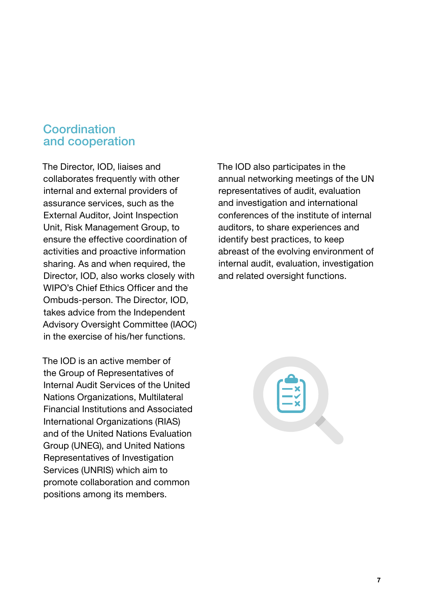#### Coordination and cooperation

The Director, IOD, liaises and collaborates frequently with other internal and external providers of assurance services, such as the External Auditor, Joint Inspection Unit, Risk Management Group, to ensure the effective coordination of activities and proactive information sharing. As and when required, the Director, IOD, also works closely with WIPO's Chief Ethics Officer and the Ombuds-person. The Director, IOD, takes advice from the Independent Advisory Oversight Committee (IAOC) in the exercise of his/her functions.

The IOD is an active member of the Group of Representatives of Internal Audit Services of the United Nations Organizations, Multilateral Financial Institutions and Associated International Organizations (RIAS) and of the United Nations Evaluation Group (UNEG), and United Nations Representatives of Investigation Services (UNRIS) which aim to promote collaboration and common positions among its members.

The IOD also participates in the annual networking meetings of the UN representatives of audit, evaluation and investigation and international conferences of the institute of internal auditors, to share experiences and identify best practices, to keep abreast of the evolving environment of internal audit, evaluation, investigation and related oversight functions.